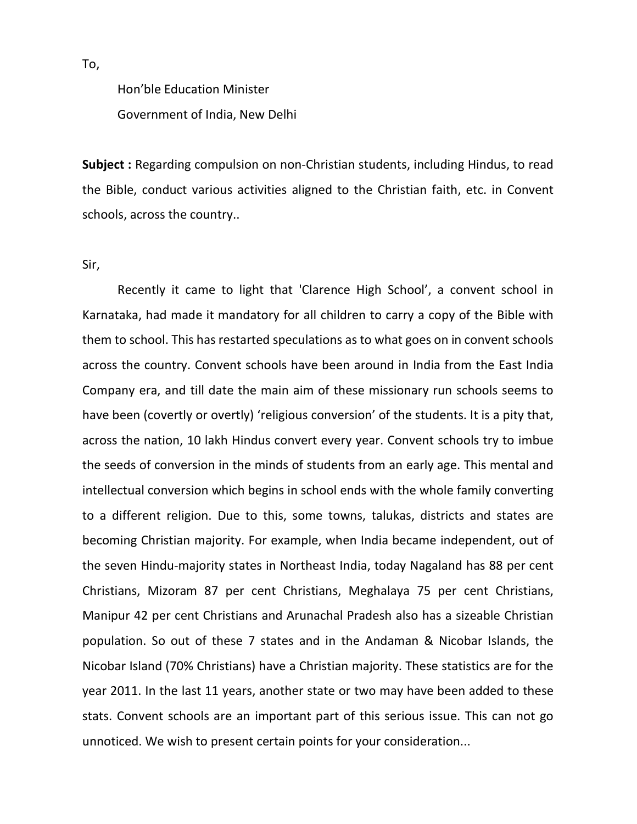Hon'ble Education Minister Government of India, New Delhi

Subject : Regarding compulsion on non-Christian students, including Hindus, to read the Bible, conduct various activities aligned to the Christian faith, etc. in Convent schools, across the country..

## Sir,

 Recently it came to light that 'Clarence High School', a convent school in Karnataka, had made it mandatory for all children to carry a copy of the Bible with them to school. This has restarted speculations as to what goes on in convent schools across the country. Convent schools have been around in India from the East India Company era, and till date the main aim of these missionary run schools seems to have been (covertly or overtly) 'religious conversion' of the students. It is a pity that, across the nation, 10 lakh Hindus convert every year. Convent schools try to imbue the seeds of conversion in the minds of students from an early age. This mental and intellectual conversion which begins in school ends with the whole family converting to a different religion. Due to this, some towns, talukas, districts and states are becoming Christian majority. For example, when India became independent, out of the seven Hindu-majority states in Northeast India, today Nagaland has 88 per cent Christians, Mizoram 87 per cent Christians, Meghalaya 75 per cent Christians, Manipur 42 per cent Christians and Arunachal Pradesh also has a sizeable Christian population. So out of these 7 states and in the Andaman & Nicobar Islands, the Nicobar Island (70% Christians) have a Christian majority. These statistics are for the year 2011. In the last 11 years, another state or two may have been added to these stats. Convent schools are an important part of this serious issue. This can not go unnoticed. We wish to present certain points for your consideration...

To,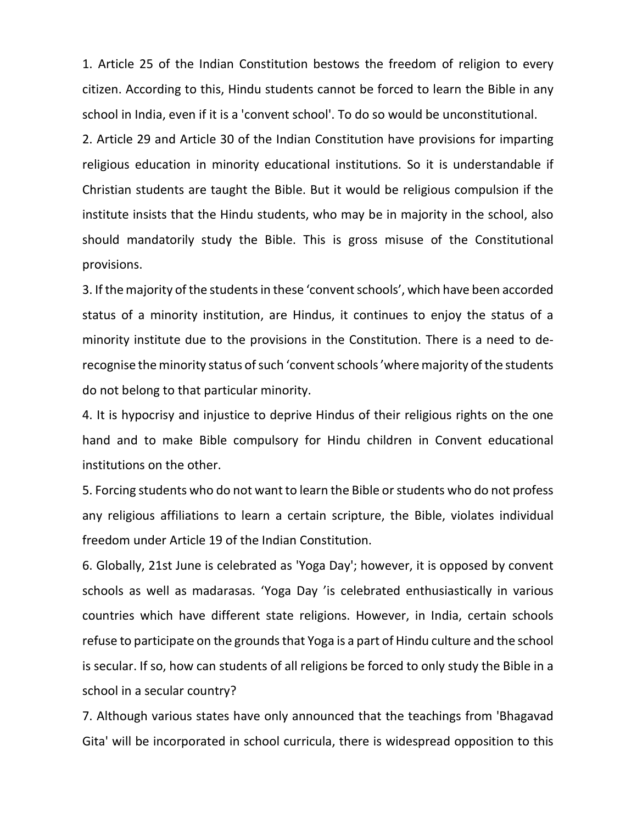1. Article 25 of the Indian Constitution bestows the freedom of religion to every citizen. According to this, Hindu students cannot be forced to learn the Bible in any school in India, even if it is a 'convent school'. To do so would be unconstitutional.

2. Article 29 and Article 30 of the Indian Constitution have provisions for imparting religious education in minority educational institutions. So it is understandable if Christian students are taught the Bible. But it would be religious compulsion if the institute insists that the Hindu students, who may be in majority in the school, also should mandatorily study the Bible. This is gross misuse of the Constitutional provisions.

3. If the majority of the students in these 'convent schools', which have been accorded status of a minority institution, are Hindus, it continues to enjoy the status of a minority institute due to the provisions in the Constitution. There is a need to derecognise the minority status of such 'convent schools 'where majority of the students do not belong to that particular minority.

4. It is hypocrisy and injustice to deprive Hindus of their religious rights on the one hand and to make Bible compulsory for Hindu children in Convent educational institutions on the other.

5. Forcing students who do not want to learn the Bible or students who do not profess any religious affiliations to learn a certain scripture, the Bible, violates individual freedom under Article 19 of the Indian Constitution.

6. Globally, 21st June is celebrated as 'Yoga Day'; however, it is opposed by convent schools as well as madarasas. 'Yoga Day 'is celebrated enthusiastically in various countries which have different state religions. However, in India, certain schools refuse to participate on the grounds that Yoga is a part of Hindu culture and the school is secular. If so, how can students of all religions be forced to only study the Bible in a school in a secular country?

7. Although various states have only announced that the teachings from 'Bhagavad Gita' will be incorporated in school curricula, there is widespread opposition to this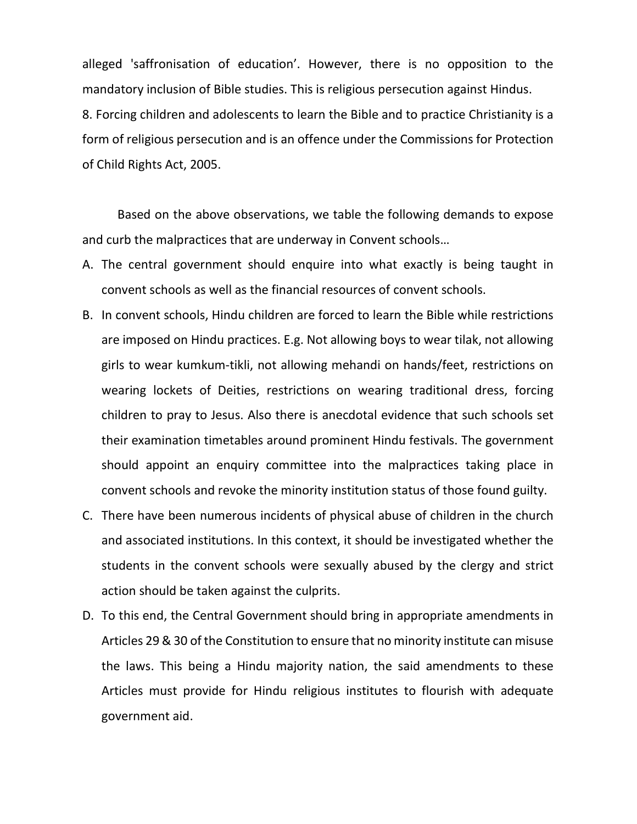alleged 'saffronisation of education'. However, there is no opposition to the mandatory inclusion of Bible studies. This is religious persecution against Hindus. 8. Forcing children and adolescents to learn the Bible and to practice Christianity is a form of religious persecution and is an offence under the Commissions for Protection of Child Rights Act, 2005.

 Based on the above observations, we table the following demands to expose and curb the malpractices that are underway in Convent schools…

- A. The central government should enquire into what exactly is being taught in convent schools as well as the financial resources of convent schools.
- B. In convent schools, Hindu children are forced to learn the Bible while restrictions are imposed on Hindu practices. E.g. Not allowing boys to wear tilak, not allowing girls to wear kumkum-tikli, not allowing mehandi on hands/feet, restrictions on wearing lockets of Deities, restrictions on wearing traditional dress, forcing children to pray to Jesus. Also there is anecdotal evidence that such schools set their examination timetables around prominent Hindu festivals. The government should appoint an enquiry committee into the malpractices taking place in convent schools and revoke the minority institution status of those found guilty.
- C. There have been numerous incidents of physical abuse of children in the church and associated institutions. In this context, it should be investigated whether the students in the convent schools were sexually abused by the clergy and strict action should be taken against the culprits.
- D. To this end, the Central Government should bring in appropriate amendments in Articles 29 & 30 of the Constitution to ensure that no minority institute can misuse the laws. This being a Hindu majority nation, the said amendments to these Articles must provide for Hindu religious institutes to flourish with adequate government aid.